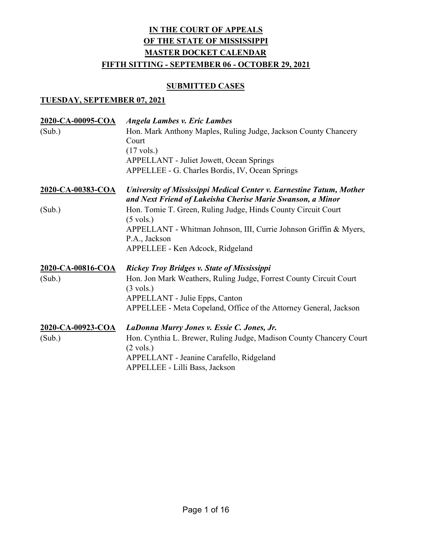#### **SUBMITTED CASES**

| 2020-CA-00095-COA        | <b>Angela Lambes v. Eric Lambes</b>                                                                                                |
|--------------------------|------------------------------------------------------------------------------------------------------------------------------------|
| (Sub.)                   | Hon. Mark Anthony Maples, Ruling Judge, Jackson County Chancery<br>Court                                                           |
|                          | $(17 \text{ vols.})$                                                                                                               |
|                          | <b>APPELLANT</b> - Juliet Jowett, Ocean Springs                                                                                    |
|                          | APPELLEE - G. Charles Bordis, IV, Ocean Springs                                                                                    |
| <u>2020-CA-00383-COA</u> | University of Mississippi Medical Center v. Earnestine Tatum, Mother<br>and Next Friend of Lakeisha Cherise Marie Swanson, a Minor |
| (Sub.)                   | Hon. Tomie T. Green, Ruling Judge, Hinds County Circuit Court<br>$(5 \text{ vols.})$                                               |
|                          | APPELLANT - Whitman Johnson, III, Currie Johnson Griffin & Myers,                                                                  |
|                          | P.A., Jackson                                                                                                                      |
|                          | APPELLEE - Ken Adcock, Ridgeland                                                                                                   |
| 2020-CA-00816-COA        | <b>Rickey Troy Bridges v. State of Mississippi</b>                                                                                 |
| (Sub.)                   | Hon. Jon Mark Weathers, Ruling Judge, Forrest County Circuit Court                                                                 |
|                          | $(3 \text{ vols.})$                                                                                                                |
|                          | APPELLANT - Julie Epps, Canton                                                                                                     |
|                          | APPELLEE - Meta Copeland, Office of the Attorney General, Jackson                                                                  |
| 2020-CA-00923-COA        | LaDonna Murry Jones v. Essie C. Jones, Jr.                                                                                         |
| (Sub.)                   | Hon. Cynthia L. Brewer, Ruling Judge, Madison County Chancery Court                                                                |
|                          | $(2 \text{ vols.})$                                                                                                                |
|                          | APPELLANT - Jeanine Carafello, Ridgeland                                                                                           |
|                          | APPELLEE - Lilli Bass, Jackson                                                                                                     |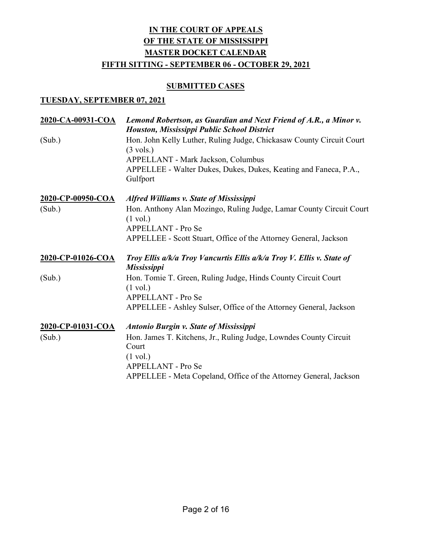#### **SUBMITTED CASES**

| 2020-CA-00931-COA | Lemond Robertson, as Guardian and Next Friend of A.R., a Minor v.<br><b>Houston, Mississippi Public School District</b> |
|-------------------|-------------------------------------------------------------------------------------------------------------------------|
| (Sub.)            | Hon. John Kelly Luther, Ruling Judge, Chickasaw County Circuit Court                                                    |
|                   | $(3 \text{ vols.})$                                                                                                     |
|                   | APPELLANT - Mark Jackson, Columbus                                                                                      |
|                   | APPELLEE - Walter Dukes, Dukes, Dukes, Keating and Faneca, P.A.,<br>Gulfport                                            |
| 2020-CP-00950-COA | <b>Alfred Williams v. State of Mississippi</b>                                                                          |
| (Sub.)            | Hon. Anthony Alan Mozingo, Ruling Judge, Lamar County Circuit Court<br>$(1 \text{ vol.})$                               |
|                   | APPELLANT - Pro Se                                                                                                      |
|                   | APPELLEE - Scott Stuart, Office of the Attorney General, Jackson                                                        |
| 2020-CP-01026-COA | Troy Ellis a/k/a Troy Vancurtis Ellis a/k/a Troy V. Ellis v. State of<br><b>Mississippi</b>                             |
| (Sub.)            | Hon. Tomie T. Green, Ruling Judge, Hinds County Circuit Court                                                           |
|                   | $(1 \text{ vol.})$                                                                                                      |
|                   | <b>APPELLANT - Pro Se</b>                                                                                               |
|                   | APPELLEE - Ashley Sulser, Office of the Attorney General, Jackson                                                       |
| 2020-CP-01031-COA | <b>Antonio Burgin v. State of Mississippi</b>                                                                           |
| (Sub.)            | Hon. James T. Kitchens, Jr., Ruling Judge, Lowndes County Circuit                                                       |
|                   | Court                                                                                                                   |
|                   | $(1 \text{ vol.})$                                                                                                      |
|                   | APPELLANT - Pro Se                                                                                                      |
|                   | APPELLEE - Meta Copeland, Office of the Attorney General, Jackson                                                       |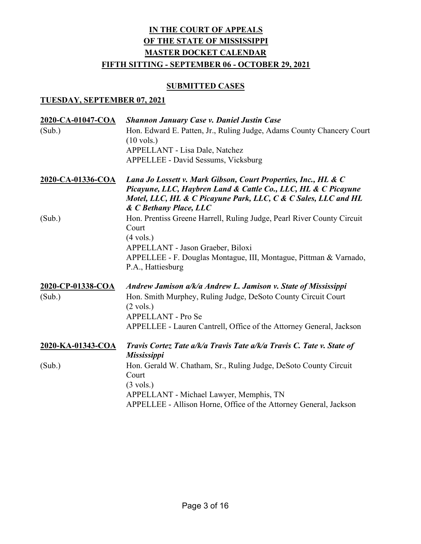#### **SUBMITTED CASES**

| 2020-CA-01047-COA | <b>Shannon January Case v. Daniel Justin Case</b>                                                                                                                                                                            |
|-------------------|------------------------------------------------------------------------------------------------------------------------------------------------------------------------------------------------------------------------------|
| (Sub.)            | Hon. Edward E. Patten, Jr., Ruling Judge, Adams County Chancery Court<br>$(10 \text{ vols.})$                                                                                                                                |
|                   | APPELLANT - Lisa Dale, Natchez                                                                                                                                                                                               |
|                   | APPELLEE - David Sessums, Vicksburg                                                                                                                                                                                          |
| 2020-CA-01336-COA | Lana Jo Lossett v. Mark Gibson, Court Properties, Inc., HL & C<br>Picayune, LLC, Haybren Land & Cattle Co., LLC, HL & C Picayune<br>Motel, LLC, HL & C Picayune Park, LLC, C & C Sales, LLC and HL<br>& C Bethany Place, LLC |
| (Sub.)            | Hon. Prentiss Greene Harrell, Ruling Judge, Pearl River County Circuit<br>Court<br>$(4 \text{ vols.})$                                                                                                                       |
|                   | APPELLANT - Jason Graeber, Biloxi<br>APPELLEE - F. Douglas Montague, III, Montague, Pittman & Varnado,<br>P.A., Hattiesburg                                                                                                  |
| 2020-CP-01338-COA | Andrew Jamison a/k/a Andrew L. Jamison v. State of Mississippi                                                                                                                                                               |
| (Sub.)            | Hon. Smith Murphey, Ruling Judge, DeSoto County Circuit Court<br>$(2 \text{ vols.})$                                                                                                                                         |
|                   | <b>APPELLANT - Pro Se</b>                                                                                                                                                                                                    |
|                   | APPELLEE - Lauren Cantrell, Office of the Attorney General, Jackson                                                                                                                                                          |
| 2020-KA-01343-COA | Travis Cortez Tate a/k/a Travis Tate a/k/a Travis C. Tate v. State of<br><b>Mississippi</b>                                                                                                                                  |
| (Sub.)            | Hon. Gerald W. Chatham, Sr., Ruling Judge, DeSoto County Circuit<br>Court                                                                                                                                                    |
|                   | $(3 \text{ vols.})$                                                                                                                                                                                                          |
|                   | APPELLANT - Michael Lawyer, Memphis, TN                                                                                                                                                                                      |
|                   | APPELLEE - Allison Horne, Office of the Attorney General, Jackson                                                                                                                                                            |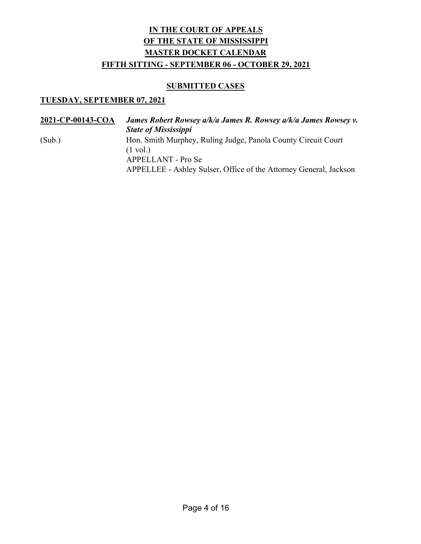### **SUBMITTED CASES**

| 2021-CP-00143-COA | James Robert Rowsey a/k/a James R. Rowsey a/k/a James Rowsey v.<br><b>State of Mississippi</b> |
|-------------------|------------------------------------------------------------------------------------------------|
| (Sub.)            | Hon. Smith Murphey, Ruling Judge, Panola County Circuit Court<br>$(1 \text{ vol.})$            |
|                   | APPELLANT - Pro Se<br>APPELLEE - Ashley Sulser, Office of the Attorney General, Jackson        |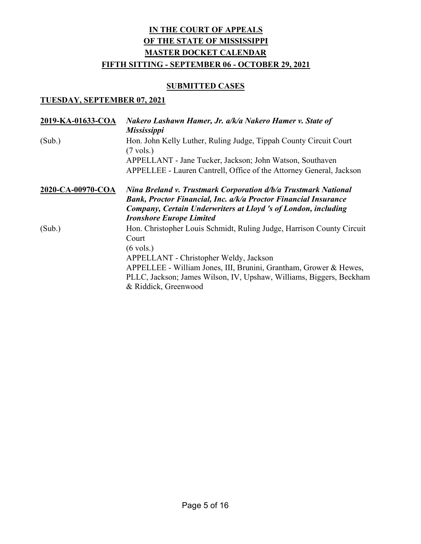### **SUBMITTED CASES**

| 2019-KA-01633-COA | Nakero Lashawn Hamer, Jr. a/k/a Nakero Hamer v. State of<br><b>Mississippi</b>                                                           |
|-------------------|------------------------------------------------------------------------------------------------------------------------------------------|
| (Sub.)            | Hon. John Kelly Luther, Ruling Judge, Tippah County Circuit Court<br>$(7 \text{ vols.})$                                                 |
|                   | APPELLANT - Jane Tucker, Jackson; John Watson, Southaven                                                                                 |
|                   | APPELLEE - Lauren Cantrell, Office of the Attorney General, Jackson                                                                      |
| 2020-CA-00970-COA | Nina Breland v. Trustmark Corporation d/b/a Trustmark National<br><b>Bank, Proctor Financial, Inc. a/k/a Proctor Financial Insurance</b> |
|                   | Company, Certain Underwriters at Lloyd 's of London, including                                                                           |
|                   | <b>Ironshore Europe Limited</b>                                                                                                          |
| (Sub.)            | Hon. Christopher Louis Schmidt, Ruling Judge, Harrison County Circuit<br>Court                                                           |
|                   | $(6 \text{ vols.})$                                                                                                                      |
|                   | APPELLANT - Christopher Weldy, Jackson                                                                                                   |
|                   | APPELLEE - William Jones, III, Brunini, Grantham, Grower & Hewes,                                                                        |
|                   | PLLC, Jackson; James Wilson, IV, Upshaw, Williams, Biggers, Beckham                                                                      |
|                   | & Riddick, Greenwood                                                                                                                     |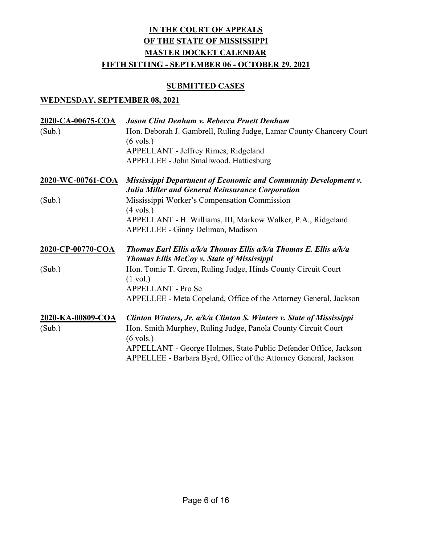#### SUBMITTED CASES

| 2020-CA-00675-COA | Jason Clint Denham v. Rebecca Pruett Denham                                                                                |
|-------------------|----------------------------------------------------------------------------------------------------------------------------|
| (Sub.)            | Hon. Deborah J. Gambrell, Ruling Judge, Lamar County Chancery Court<br>$(6 \text{ vols.})$                                 |
|                   | APPELLANT - Jeffrey Rimes, Ridgeland                                                                                       |
|                   | APPELLEE - John Smallwood, Hattiesburg                                                                                     |
| 2020-WC-00761-COA | Mississippi Department of Economic and Community Development v.<br><b>Julia Miller and General Reinsurance Corporation</b> |
| (Sub.)            | Mississippi Worker's Compensation Commission<br>$(4 \text{ vols.})$                                                        |
|                   | APPELLANT - H. Williams, III, Markow Walker, P.A., Ridgeland<br><b>APPELLEE - Ginny Deliman, Madison</b>                   |
| 2020-CP-00770-COA | Thomas Earl Ellis a/k/a Thomas Ellis a/k/a Thomas E. Ellis a/k/a<br><b>Thomas Ellis McCoy v. State of Mississippi</b>      |
| (Sub.)            | Hon. Tomie T. Green, Ruling Judge, Hinds County Circuit Court<br>$(1 \text{ vol.})$<br>APPELLANT - Pro Se                  |
|                   | APPELLEE - Meta Copeland, Office of the Attorney General, Jackson                                                          |
| 2020-KA-00809-COA | Clinton Winters, Jr. a/k/a Clinton S. Winters v. State of Mississippi                                                      |
| (Sub.)            | Hon. Smith Murphey, Ruling Judge, Panola County Circuit Court<br>$(6 \text{ vols.})$                                       |
|                   | APPELLANT - George Holmes, State Public Defender Office, Jackson                                                           |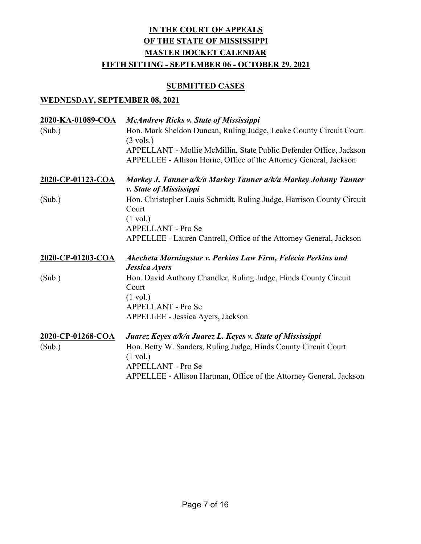### **SUBMITTED CASES**

| <u>2020-KA-01089-COA</u><br>(Sub.) | <b>McAndrew Ricks v. State of Mississippi</b><br>Hon. Mark Sheldon Duncan, Ruling Judge, Leake County Circuit Court<br>$(3 \text{ vols.})$<br>APPELLANT - Mollie McMillin, State Public Defender Office, Jackson<br>APPELLEE - Allison Horne, Office of the Attorney General, Jackson |
|------------------------------------|---------------------------------------------------------------------------------------------------------------------------------------------------------------------------------------------------------------------------------------------------------------------------------------|
| 2020-CP-01123-COA                  | Markey J. Tanner a/k/a Markey Tanner a/k/a Markey Johnny Tanner<br>v. State of Mississippi                                                                                                                                                                                            |
| (Sub.)                             | Hon. Christopher Louis Schmidt, Ruling Judge, Harrison County Circuit<br>Court<br>$(1 \text{ vol.})$<br><b>APPELLANT - Pro Se</b><br>APPELLEE - Lauren Cantrell, Office of the Attorney General, Jackson                                                                              |
| 2020-CP-01203-COA                  | Akecheta Morningstar v. Perkins Law Firm, Felecia Perkins and                                                                                                                                                                                                                         |
|                                    |                                                                                                                                                                                                                                                                                       |
| (Sub.)                             | <b>Jessica Ayers</b><br>Hon. David Anthony Chandler, Ruling Judge, Hinds County Circuit<br>Court<br>$(1 \text{ vol.})$<br>APPELLANT - Pro Se<br>APPELLEE - Jessica Ayers, Jackson                                                                                                     |
| 2020-CP-01268-COA<br>(Sub.)        | Juarez Keyes a/k/a Juarez L. Keyes v. State of Mississippi<br>Hon. Betty W. Sanders, Ruling Judge, Hinds County Circuit Court                                                                                                                                                         |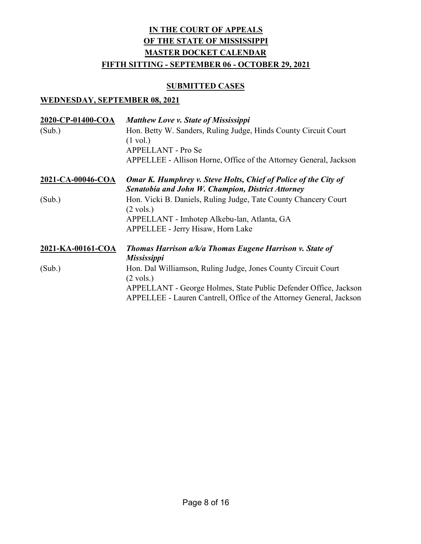### **SUBMITTED CASES**

| 2020-CP-01400-COA<br>(Sub.) | <b>Matthew Love v. State of Mississippi</b><br>Hon. Betty W. Sanders, Ruling Judge, Hinds County Circuit Court<br>$(1 \text{ vol.})$<br>APPELLANT - Pro Se<br>APPELLEE - Allison Horne, Office of the Attorney General, Jackson |
|-----------------------------|---------------------------------------------------------------------------------------------------------------------------------------------------------------------------------------------------------------------------------|
| 2021-CA-00046-COA           | <b>Omar K. Humphrey v. Steve Holts, Chief of Police of the City of</b><br>Senatobia and John W. Champion, District Attorney                                                                                                     |
| (Sub.)                      | Hon. Vicki B. Daniels, Ruling Judge, Tate County Chancery Court<br>$(2 \text{ vols.})$<br>APPELLANT - Imhotep Alkebu-lan, Atlanta, GA<br><b>APPELLEE - Jerry Hisaw, Horn Lake</b>                                               |
| 2021-KA-00161-COA           | <b>Thomas Harrison a/k/a Thomas Eugene Harrison v. State of</b><br><i>Mississippi</i>                                                                                                                                           |
| (Sub.)                      | Hon. Dal Williamson, Ruling Judge, Jones County Circuit Court<br>$(2 \text{ vols.})$<br>APPELLANT - George Holmes, State Public Defender Office, Jackson<br>APPELLEE - Lauren Cantrell, Office of the Attorney General, Jackson |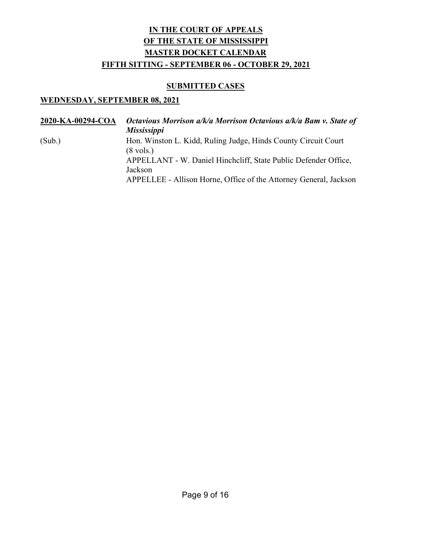### SUBMITTED CASES

| 2020-KA-00294-COA | Octavious Morrison a/k/a Morrison Octavious a/k/a Bam v. State of<br><b>Mississippi</b> |
|-------------------|-----------------------------------------------------------------------------------------|
| (Sub.)            | Hon. Winston L. Kidd, Ruling Judge, Hinds County Circuit Court<br>$(8 \text{ vols.})$   |
|                   | APPELLANT - W. Daniel Hinchcliff, State Public Defender Office,<br>Jackson              |
|                   | APPELLEE - Allison Horne, Office of the Attorney General, Jackson                       |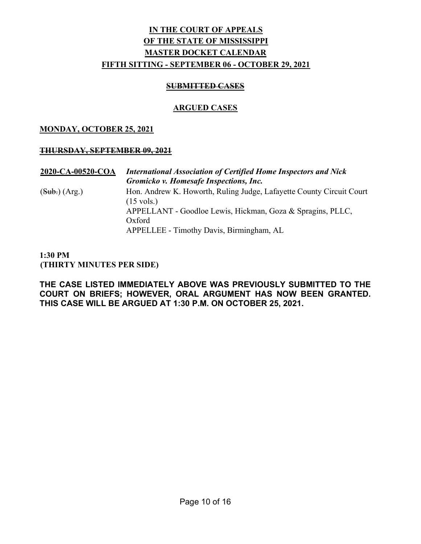#### SUBMITTED CASES

### ARGUED CASES

#### MONDAY, OCTOBER 25, 2021

#### THURSDAY, SEPTEMBER 09, 2021

2020-CA-00520-COA International Association of Certified Home Inspectors and Nick Gromicko v. Homesafe Inspections, Inc. (Sub.) (Arg.) Hon. Andrew K. Howorth, Ruling Judge, Lafayette County Circuit Court (15 vols.) APPELLANT - Goodloe Lewis, Hickman, Goza & Spragins, PLLC, Oxford APPELLEE - Timothy Davis, Birmingham, AL

#### 1:30 PM (THIRTY MINUTES PER SIDE)

THE CASE LISTED IMMEDIATELY ABOVE WAS PREVIOUSLY SUBMITTED TO THE COURT ON BRIEFS; HOWEVER, ORAL ARGUMENT HAS NOW BEEN GRANTED. THIS CASE WILL BE ARGUED AT 1:30 P.M. ON OCTOBER 25, 2021.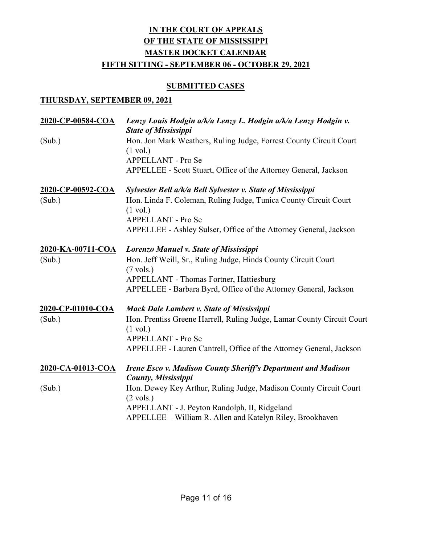### **SUBMITTED CASES**

| 2020-CP-00584-COA | Lenzy Louis Hodgin a/k/a Lenzy L. Hodgin a/k/a Lenzy Hodgin v.<br><b>State of Mississippi</b>                  |
|-------------------|----------------------------------------------------------------------------------------------------------------|
| (Sub.)            | Hon. Jon Mark Weathers, Ruling Judge, Forrest County Circuit Court<br>$(1 \text{ vol.})$<br>APPELLANT - Pro Se |
|                   | APPELLEE - Scott Stuart, Office of the Attorney General, Jackson                                               |
| 2020-CP-00592-COA | Sylvester Bell a/k/a Bell Sylvester v. State of Mississippi                                                    |
| (Sub.)            | Hon. Linda F. Coleman, Ruling Judge, Tunica County Circuit Court<br>$(1 \text{ vol.})$<br>APPELLANT - Pro Se   |
|                   | APPELLEE - Ashley Sulser, Office of the Attorney General, Jackson                                              |
| 2020-KA-00711-COA | Lorenzo Manuel v. State of Mississippi                                                                         |
| (Sub.)            | Hon. Jeff Weill, Sr., Ruling Judge, Hinds County Circuit Court                                                 |
|                   | $(7 \text{ vols.})$<br>APPELLANT - Thomas Fortner, Hattiesburg                                                 |
|                   | APPELLEE - Barbara Byrd, Office of the Attorney General, Jackson                                               |
| 2020-CP-01010-COA | <b>Mack Dale Lambert v. State of Mississippi</b>                                                               |
| (Sub.)            | Hon. Prentiss Greene Harrell, Ruling Judge, Lamar County Circuit Court<br>$(1 \text{ vol.})$                   |
|                   | APPELLANT - Pro Se                                                                                             |
|                   | APPELLEE - Lauren Cantrell, Office of the Attorney General, Jackson                                            |
| 2020-CA-01013-COA | <b>Irene Esco v. Madison County Sheriff's Department and Madison</b><br><b>County, Mississippi</b>             |
| (Sub.)            | Hon. Dewey Key Arthur, Ruling Judge, Madison County Circuit Court<br>$(2 \text{ vols.})$                       |
|                   | APPELLANT - J. Peyton Randolph, II, Ridgeland                                                                  |
|                   | APPELLEE - William R. Allen and Katelyn Riley, Brookhaven                                                      |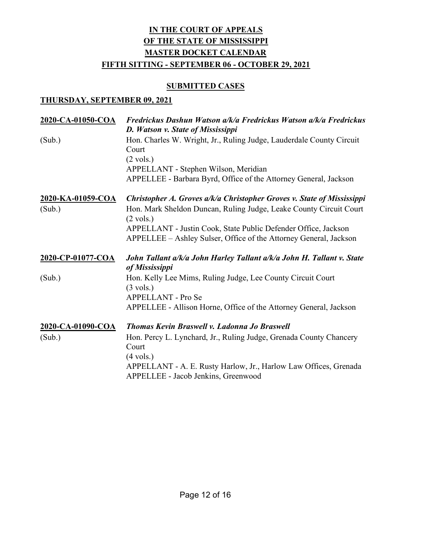### **SUBMITTED CASES**

| 2020-CA-01050-COA | Fredrickus Dashun Watson a/k/a Fredrickus Watson a/k/a Fredrickus<br>D. Watson v. State of Mississippi |
|-------------------|--------------------------------------------------------------------------------------------------------|
| (Sub.)            | Hon. Charles W. Wright, Jr., Ruling Judge, Lauderdale County Circuit<br>Court<br>$(2 \text{ vols.})$   |
|                   | APPELLANT - Stephen Wilson, Meridian                                                                   |
|                   | APPELLEE - Barbara Byrd, Office of the Attorney General, Jackson                                       |
| 2020-KA-01059-COA | Christopher A. Groves a/k/a Christopher Groves v. State of Mississippi                                 |
| (Sub.)            | Hon. Mark Sheldon Duncan, Ruling Judge, Leake County Circuit Court<br>$(2 \text{ vols.})$              |
|                   | APPELLANT - Justin Cook, State Public Defender Office, Jackson                                         |
|                   | APPELLEE - Ashley Sulser, Office of the Attorney General, Jackson                                      |
|                   |                                                                                                        |
| 2020-CP-01077-COA | John Tallant a/k/a John Harley Tallant a/k/a John H. Tallant v. State                                  |
| (Sub.)            | of Mississippi<br>Hon. Kelly Lee Mims, Ruling Judge, Lee County Circuit Court                          |
|                   | $(3 \text{ vols.})$                                                                                    |
|                   | <b>APPELLANT - Pro Se</b>                                                                              |
|                   | APPELLEE - Allison Horne, Office of the Attorney General, Jackson                                      |
| 2020-CA-01090-COA | <b>Thomas Kevin Braswell v. Ladonna Jo Braswell</b>                                                    |
| (Sub.)            | Hon. Percy L. Lynchard, Jr., Ruling Judge, Grenada County Chancery<br>Court                            |
|                   | $(4 \text{ vols.})$                                                                                    |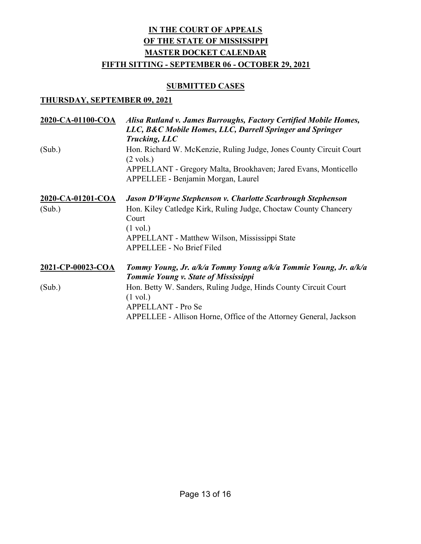### **SUBMITTED CASES**

| Alisa Rutland v. James Burroughs, Factory Certified Mobile Homes,<br>LLC, B&C Mobile Homes, LLC, Darrell Springer and Springer<br>Trucking, LLC                                  |
|----------------------------------------------------------------------------------------------------------------------------------------------------------------------------------|
| Hon. Richard W. McKenzie, Ruling Judge, Jones County Circuit Court<br>$(2 \text{ vols.})$                                                                                        |
| APPELLANT - Gregory Malta, Brookhaven; Jared Evans, Monticello<br>APPELLEE - Benjamin Morgan, Laurel                                                                             |
| Jason D'Wayne Stephenson v. Charlotte Scarbrough Stephenson                                                                                                                      |
| Hon. Kiley Catledge Kirk, Ruling Judge, Choctaw County Chancery<br>Court<br>$(1 \text{ vol.})$<br>APPELLANT - Matthew Wilson, Mississippi State                                  |
| APPELLEE - No Brief Filed                                                                                                                                                        |
| Tommy Young, Jr. a/k/a Tommy Young a/k/a Tommie Young, Jr. a/k/a<br><b>Tommie Young v. State of Mississippi</b>                                                                  |
| Hon. Betty W. Sanders, Ruling Judge, Hinds County Circuit Court<br>$(1 \text{ vol.})$<br>APPELLANT - Pro Se<br>APPELLEE - Allison Horne, Office of the Attorney General, Jackson |
|                                                                                                                                                                                  |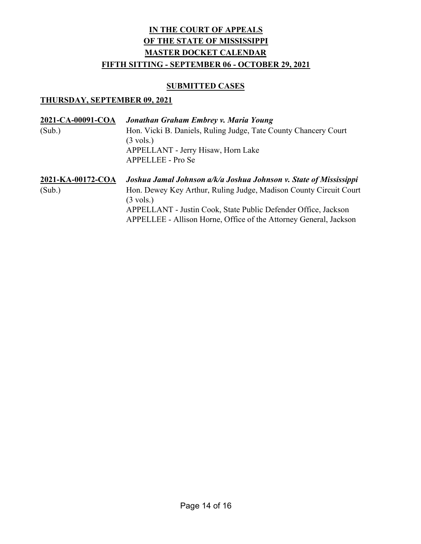### **SUBMITTED CASES**

| 2021-CA-00091-COA | Jonathan Graham Embrey v. Maria Young                                                                                               |
|-------------------|-------------------------------------------------------------------------------------------------------------------------------------|
| (Sub.)            | Hon. Vicki B. Daniels, Ruling Judge, Tate County Chancery Court<br>$(3 \text{ vols.})$<br>APPELLANT - Jerry Hisaw, Horn Lake        |
|                   | APPELLEE - Pro Se                                                                                                                   |
| 2021-KA-00172-COA | Joshua Jamal Johnson a/k/a Joshua Johnson v. State of Mississippi                                                                   |
| (Sub.)            | Hon. Dewey Key Arthur, Ruling Judge, Madison County Circuit Court<br>$(3 \text{ vols.})$                                            |
|                   | APPELLANT - Justin Cook, State Public Defender Office, Jackson<br>APPELLEE - Allison Horne, Office of the Attorney General, Jackson |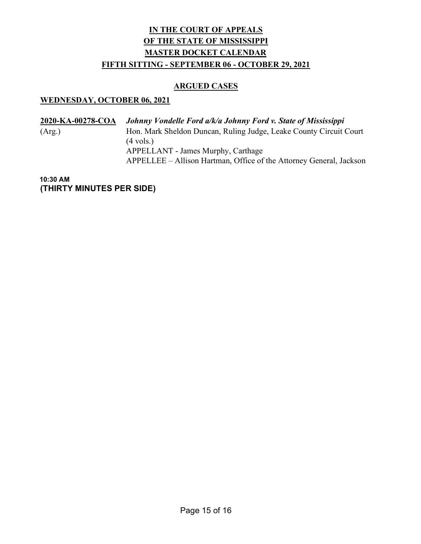#### ARGUED CASES

### WEDNESDAY, OCTOBER 06, 2021

| 2020-KA-00278-COA | Johnny Vondelle Ford a/k/a Johnny Ford v. State of Mississippi      |
|-------------------|---------------------------------------------------------------------|
| (Arg.)            | Hon. Mark Sheldon Duncan, Ruling Judge, Leake County Circuit Court  |
|                   | $(4 \text{ vols.})$                                                 |
|                   | APPELLANT - James Murphy, Carthage                                  |
|                   | APPELLEE – Allison Hartman, Office of the Attorney General, Jackson |

10:30 AM (THIRTY MINUTES PER SIDE)